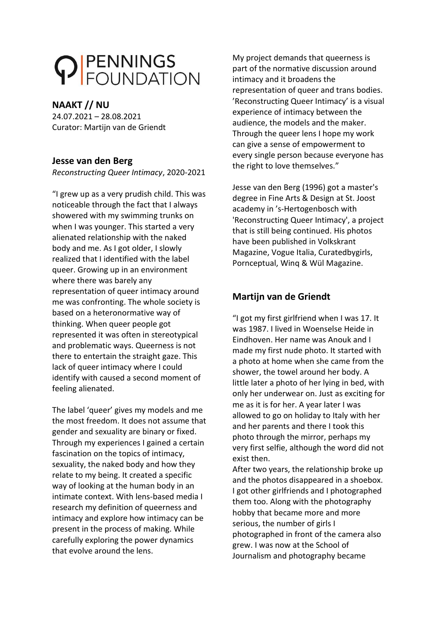# PENNINGS

## **NAAKT // NU**

24.07.2021 – 28.08.2021 Curator: Martijn van de Griendt

## **Jesse van den Berg**

*Reconstructing Queer Intimacy*, 2020-2021

"I grew up as a very prudish child. This was noticeable through the fact that I always showered with my swimming trunks on when I was younger. This started a very alienated relationship with the naked body and me. As I got older, I slowly realized that I identified with the label queer. Growing up in an environment where there was barely any representation of queer intimacy around me was confronting. The whole society is based on a heteronormative way of thinking. When queer people got represented it was often in stereotypical and problematic ways. Queerness is not there to entertain the straight gaze. This lack of queer intimacy where I could identify with caused a second moment of feeling alienated.

The label 'queer' gives my models and me the most freedom. It does not assume that gender and sexuality are binary or fixed. Through my experiences I gained a certain fascination on the topics of intimacy, sexuality, the naked body and how they relate to my being. It created a specific way of looking at the human body in an intimate context. With lens-based media I research my definition of queerness and intimacy and explore how intimacy can be present in the process of making. While carefully exploring the power dynamics that evolve around the lens.

My project demands that queerness is part of the normative discussion around intimacy and it broadens the representation of queer and trans bodies. 'Reconstructing Queer Intimacy' is a visual experience of intimacy between the audience, the models and the maker. Through the queer lens I hope my work can give a sense of empowerment to every single person because everyone has the right to love themselves."

Jesse van den Berg (1996) got a master's degree in Fine Arts & Design at St. Joost academy in 's-Hertogenbosch with 'Reconstructing Queer Intimacy', a project that is still being continued. His photos have been published in Volkskrant Magazine, Vogue Italia, Curatedbygirls, Pornceptual, Winq & Wül Magazine.

# **Martijn van de Griendt**

"I got my first girlfriend when I was 17. It was 1987. I lived in Woenselse Heide in Eindhoven. Her name was Anouk and I made my first nude photo. It started with a photo at home when she came from the shower, the towel around her body. A little later a photo of her lying in bed, with only her underwear on. Just as exciting for me as it is for her. A year later I was allowed to go on holiday to Italy with her and her parents and there I took this photo through the mirror, perhaps my very first selfie, although the word did not exist then.

After two years, the relationship broke up and the photos disappeared in a shoebox. I got other girlfriends and I photographed them too. Along with the photography hobby that became more and more serious, the number of girls I photographed in front of the camera also grew. I was now at the School of Journalism and photography became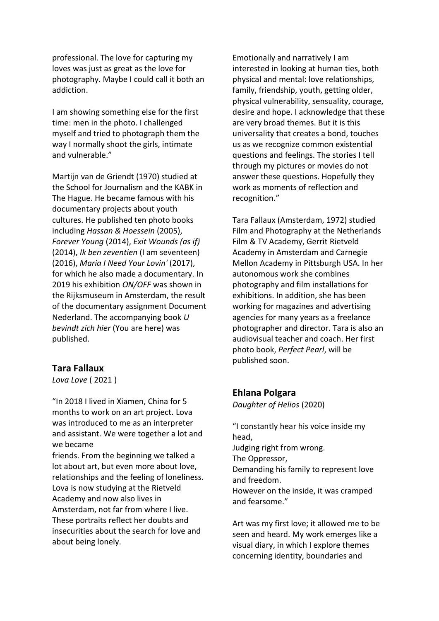professional. The love for capturing my loves was just as great as the love for photography. Maybe I could call it both an addiction.

I am showing something else for the first time: men in the photo. I challenged myself and tried to photograph them the way I normally shoot the girls, intimate and vulnerable."

Martijn van de Griendt (1970) studied at the School for Journalism and the KABK in The Hague. He became famous with his documentary projects about youth cultures. He published ten photo books including *Hassan & Hoessein* (2005), *Forever Young* (2014), *Exit Wounds (as if)* (2014), *Ik ben zeventien* (I am seventeen) (2016), *Maria I Need Your Lovin'* (2017), for which he also made a documentary. In 2019 his exhibition *ON/OFF* was shown in the Rijksmuseum in Amsterdam, the result of the documentary assignment Document Nederland. The accompanying book *U bevindt zich hier* (You are here) was published.

#### **Tara Fallaux**

*Lova Love* ( 2021 )

"In 2018 I lived in Xiamen, China for 5 months to work on an art project. Lova was introduced to me as an interpreter and assistant. We were together a lot and we became

friends. From the beginning we talked a lot about art, but even more about love, relationships and the feeling of loneliness. Lova is now studying at the Rietveld Academy and now also lives in Amsterdam, not far from where I live. These portraits reflect her doubts and insecurities about the search for love and about being lonely.

Emotionally and narratively I am interested in looking at human ties, both physical and mental: love relationships, family, friendship, youth, getting older, physical vulnerability, sensuality, courage, desire and hope. I acknowledge that these are very broad themes. But it is this universality that creates a bond, touches us as we recognize common existential questions and feelings. The stories I tell through my pictures or movies do not answer these questions. Hopefully they work as moments of reflection and recognition."

Tara Fallaux (Amsterdam, 1972) studied Film and Photography at the Netherlands Film & TV Academy, Gerrit Rietveld Academy in Amsterdam and Carnegie Mellon Academy in Pittsburgh USA. In her autonomous work she combines photography and film installations for exhibitions. In addition, she has been working for magazines and advertising agencies for many years as a freelance photographer and director. Tara is also an audiovisual teacher and coach. Her first photo book, *Perfect Pearl*, will be published soon.

#### **Ehlana Polgara**

*Daughter of Helios* (2020)

"I constantly hear his voice inside my head, Judging right from wrong. The Oppressor, Demanding his family to represent love and freedom. However on the inside, it was cramped and fearsome."

Art was my first love; it allowed me to be seen and heard. My work emerges like a visual diary, in which I explore themes concerning identity, boundaries and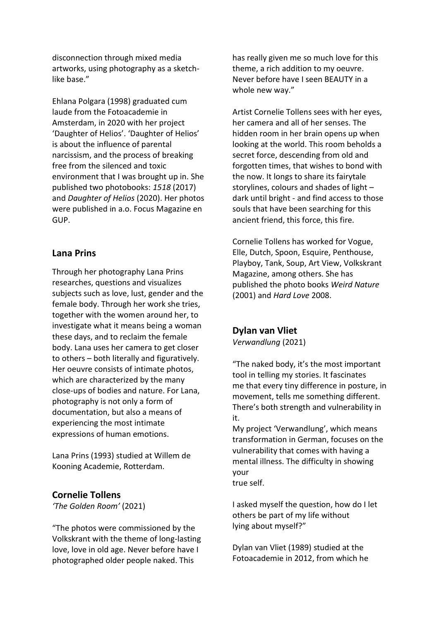disconnection through mixed media artworks, using photography as a sketchlike base."

Ehlana Polgara (1998) graduated cum laude from the Fotoacademie in Amsterdam, in 2020 with her project 'Daughter of Helios'. 'Daughter of Helios' is about the influence of parental narcissism, and the process of breaking free from the silenced and toxic environment that I was brought up in. She published two photobooks: *1518* (2017) and *Daughter of Helios* (2020). Her photos were published in a.o. Focus Magazine en GUP.

#### **Lana Prins**

Through her photography Lana Prins researches, questions and visualizes subjects such as love, lust, gender and the female body. Through her work she tries, together with the women around her, to investigate what it means being a woman these days, and to reclaim the female body. Lana uses her camera to get closer to others – both literally and figuratively. Her oeuvre consists of intimate photos, which are characterized by the many close-ups of bodies and nature. For Lana, photography is not only a form of documentation, but also a means of experiencing the most intimate expressions of human emotions.

Lana Prins (1993) studied at Willem de Kooning Academie, Rotterdam.

#### **Cornelie Tollens**

*'The Golden Room'* (2021)

"The photos were commissioned by the Volkskrant with the theme of long-lasting love, love in old age. Never before have I photographed older people naked. This

has really given me so much love for this theme, a rich addition to my oeuvre. Never before have I seen BEAUTY in a whole new way."

Artist Cornelie Tollens sees with her eyes, her camera and all of her senses. The hidden room in her brain opens up when looking at the world. This room beholds a secret force, descending from old and forgotten times, that wishes to bond with the now. It longs to share its fairytale storylines, colours and shades of light – dark until bright - and find access to those souls that have been searching for this ancient friend, this force, this fire.

Cornelie Tollens has worked for Vogue, Elle, Dutch, Spoon, Esquire, Penthouse, Playboy, Tank, Soup, Art View, Volkskrant Magazine, among others. She has published the photo books *Weird Nature* (2001) and *Hard Love* 2008.

#### **Dylan van Vliet**

*Verwandlung* (2021)

"The naked body, it's the most important tool in telling my stories. It fascinates me that every tiny difference in posture, in movement, tells me something different. There's both strength and vulnerability in it.

My project 'Verwandlung', which means transformation in German, focuses on the vulnerability that comes with having a mental illness. The difficulty in showing your true self.

I asked myself the question, how do I let others be part of my life without lying about myself?"

Dylan van Vliet (1989) studied at the Fotoacademie in 2012, from which he